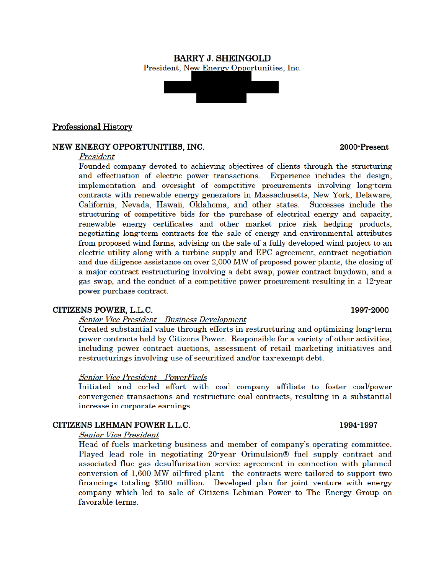#### **BARRY J. SHEINGOLD** President, New Energy Opportunities, Inc.



#### NEW ENERGY OPPORTUNITIES, INC.

#### President

Founded company devoted to achieving objectives of clients through the structuring and effectuation of electric power transactions. Experience includes the design, implementation and oversight of competitive procurements involving long-term contracts with renewable energy generators in Massachusetts, New York, Delaware, California, Nevada, Hawaii, Oklahoma, and other states. Successes include the structuring of competitive bids for the purchase of electrical energy and capacity, renewable energy certificates and other market price risk hedging products, negotiating long-term contracts for the sale of energy and environmental attributes from proposed wind farms, advising on the sale of a fully developed wind project to an electric utility along with a turbine supply and EPC agreement, contract negotiation and due diligence assistance on over 2,000 MW of proposed power plants, the closing of a major contract restructuring involving a debt swap, power contract buydown, and a gas swap, and the conduct of a competitive power procurement resulting in a 12 year power purchase contract.

#### CITIZENS POWER, L.L.C.

#### Senior Vice President-Business Development

Created substantial value through efforts in restructuring and optimizing long-term power contracts held by Citizens Power. Responsible for a variety of other activities, including power contract auctions, assessment of retail marketing initiatives and restructurings involving use of securitized and/or tax-exempt debt.

#### **Senior Vice President-PowerFuels**

Initiated and coled effort with coal company affiliate to foster coal/power convergence transactions and restructure coal contracts, resulting in a substantial increase in corporate earnings.

#### CITIZENS LEHMAN POWER L.L.C.

**Senior Vice President** 

Head of fuels marketing business and member of company's operating committee. Played lead role in negotiating 20-year Orimulsion® fuel supply contract and associated flue gas desulfurization service agreement in connection with planned conversion of 1,600 MW oil-fired plant—the contracts were tailored to support two financings totaling \$500 million. Developed plan for joint venture with energy company which led to sale of Citizens Lehman Power to The Energy Group on favorable terms.

#### 2000-Present

# 1997-2000

#### 1994-1997

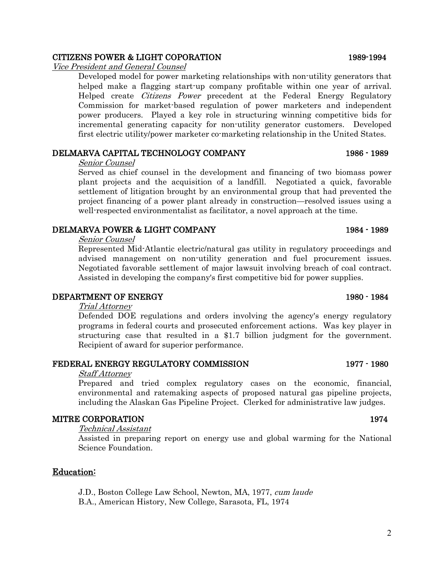# CITIZENS POWER & LIGHT COPORATION 1989-1994

Vice President and General Counsel

Developed model for power marketing relationships with non-utility generators that helped make a flagging start-up company profitable within one year of arrival. Helped create Citizens Power precedent at the Federal Energy Regulatory Commission for market-based regulation of power marketers and independent power producers. Played a key role in structuring winning competitive bids for incremental generating capacity for non-utility generator customers. Developed first electric utility/power marketer co-marketing relationship in the United States.

# DELMARVA CAPITAL TECHNOLOGY COMPANY 1986 - 1989

#### Senior Counsel

Served as chief counsel in the development and financing of two biomass power plant projects and the acquisition of a landfill. Negotiated a quick, favorable settlement of litigation brought by an environmental group that had prevented the project financing of a power plant already in construction—resolved issues using a well-respected environmentalist as facilitator, a novel approach at the time.

# DELMARVA POWER & LIGHT COMPANY 1984 - 1984 - 1989

#### Senior Counsel

Represented Mid-Atlantic electric/natural gas utility in regulatory proceedings and advised management on non-utility generation and fuel procurement issues. Negotiated favorable settlement of major lawsuit involving breach of coal contract. Assisted in developing the company's first competitive bid for power supplies.

# DEPARTMENT OF ENERGY 1980 - 1984

Trial Attorney

Defended DOE regulations and orders involving the agency's energy regulatory programs in federal courts and prosecuted enforcement actions. Was key player in structuring case that resulted in a \$1.7 billion judgment for the government. Recipient of award for superior performance.

# FEDERAL ENERGY REGULATORY COMMISSION 1977 - 1980

#### Staff Attorney

Prepared and tried complex regulatory cases on the economic, financial, environmental and ratemaking aspects of proposed natural gas pipeline projects, including the Alaskan Gas Pipeline Project. Clerked for administrative law judges.

# MITRE CORPORATION 1974

#### Technical Assistant

Assisted in preparing report on energy use and global warming for the National Science Foundation.

# Education:

J.D., Boston College Law School, Newton, MA, 1977, cum laude

B.A., American History, New College, Sarasota, FL, 1974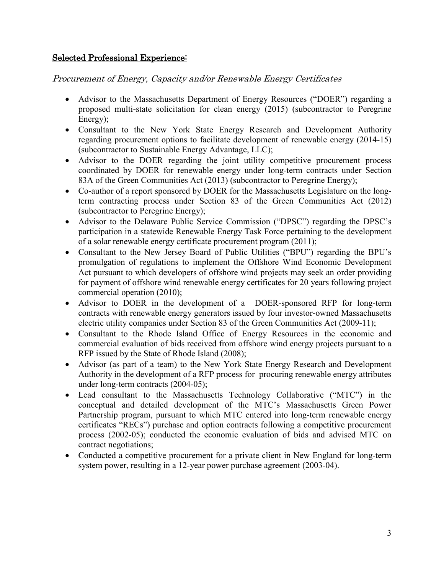# Selected Professional Experience:

Procurement of Energy, Capacity and/or Renewable Energy Certificates

- Advisor to the Massachusetts Department of Energy Resources ("DOER") regarding a proposed multi-state solicitation for clean energy (2015) (subcontractor to Peregrine Energy);
- Consultant to the New York State Energy Research and Development Authority regarding procurement options to facilitate development of renewable energy (2014-15) (subcontractor to Sustainable Energy Advantage, LLC);
- Advisor to the DOER regarding the joint utility competitive procurement process coordinated by DOER for renewable energy under long-term contracts under Section 83A of the Green Communities Act (2013) (subcontractor to Peregrine Energy);
- Co-author of a report sponsored by DOER for the Massachusetts Legislature on the longterm contracting process under Section 83 of the Green Communities Act (2012) (subcontractor to Peregrine Energy);
- Advisor to the Delaware Public Service Commission ("DPSC") regarding the DPSC's participation in a statewide Renewable Energy Task Force pertaining to the development of a solar renewable energy certificate procurement program (2011);
- Consultant to the New Jersey Board of Public Utilities ("BPU") regarding the BPU's promulgation of regulations to implement the Offshore Wind Economic Development Act pursuant to which developers of offshore wind projects may seek an order providing for payment of offshore wind renewable energy certificates for 20 years following project commercial operation (2010);
- Advisor to DOER in the development of a DOER-sponsored RFP for long-term contracts with renewable energy generators issued by four investor-owned Massachusetts electric utility companies under Section 83 of the Green Communities Act (2009-11);
- Consultant to the Rhode Island Office of Energy Resources in the economic and commercial evaluation of bids received from offshore wind energy projects pursuant to a RFP issued by the State of Rhode Island (2008);
- Advisor (as part of a team) to the New York State Energy Research and Development Authority in the development of a RFP process for procuring renewable energy attributes under long-term contracts (2004-05);
- Lead consultant to the Massachusetts Technology Collaborative ("MTC") in the conceptual and detailed development of the MTC's Massachusetts Green Power Partnership program, pursuant to which MTC entered into long-term renewable energy certificates "RECs") purchase and option contracts following a competitive procurement process (2002-05); conducted the economic evaluation of bids and advised MTC on contract negotiations;
- Conducted a competitive procurement for a private client in New England for long-term system power, resulting in a 12-year power purchase agreement (2003-04).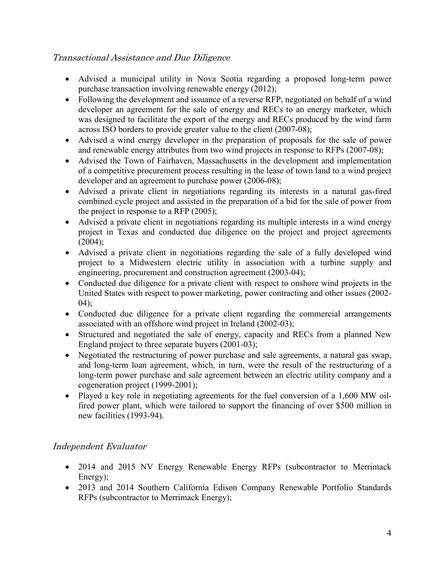# Transactional Assistance and Due Diligence

- Advised a municipal utility in Nova Scotia regarding a proposed long-term power purchase transaction involving renewable energy (2012);
- Following the development and issuance of a reverse RFP, negotiated on behalf of a wind developer an agreement for the sale of energy and RECs to an energy marketer, which was designed to facilitate the export of the energy and RECs produced by the wind farm across ISO borders to provide greater value to the client (2007-08);
- Advised a wind energy developer in the preparation of proposals for the sale of power and renewable energy attributes from two wind projects in response to RFPs (2007-08);
- Advised the Town of Fairhaven, Massachusetts in the development and implementation of a competitive procurement process resulting in the lease of town land to a wind project developer and an agreement to purchase power (2006-08);
- Advised a private client in negotiations regarding its interests in a natural gas-fired combined cycle project and assisted in the preparation of a bid for the sale of power from the project in response to a RFP (2005);
- Advised a private client in negotiations regarding its multiple interests in a wind energy project in Texas and conducted due diligence on the project and project agreements  $(2004)$ ;
- Advised a private client in negotiations regarding the sale of a fully developed wind project to a Midwestern electric utility in association with a turbine supply and engineering, procurement and construction agreement (2003-04);
- Conducted due diligence for a private client with respect to onshore wind projects in the United States with respect to power marketing, power contracting and other issues (2002-  $04$ ;
- Conducted due diligence for a private client regarding the commercial arrangements associated with an offshore wind project in Ireland (2002-03);
- Structured and negotiated the sale of energy, capacity and RECs from a planned New England project to three separate buyers (2001-03);
- Negotiated the restructuring of power purchase and sale agreements, a natural gas swap, and long-term loan agreement, which, in turn, were the result of the restructuring of a long-term power purchase and sale agreement between an electric utility company and a cogeneration project (1999-2001);
- Played a key role in negotiating agreements for the fuel conversion of a 1,600 MW oilfired power plant, which were tailored to support the financing of over \$500 million in new facilities (1993-94).

# Independent Evaluator

- 2014 and 2015 NV Energy Renewable Energy RFPs (subcontractor to Merrimack Energy);
- 2013 and 2014 Southern California Edison Company Renewable Portfolio Standards RFPs (subcontractor to Merrimack Energy);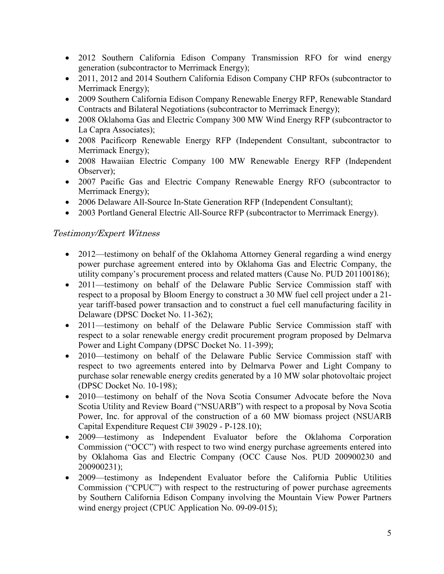- 2012 Southern California Edison Company Transmission RFO for wind energy generation (subcontractor to Merrimack Energy);
- 2011, 2012 and 2014 Southern California Edison Company CHP RFOs (subcontractor to Merrimack Energy);
- 2009 Southern California Edison Company Renewable Energy RFP, Renewable Standard Contracts and Bilateral Negotiations (subcontractor to Merrimack Energy);
- 2008 Oklahoma Gas and Electric Company 300 MW Wind Energy RFP (subcontractor to La Capra Associates);
- 2008 Pacificorp Renewable Energy RFP (Independent Consultant, subcontractor to Merrimack Energy);
- 2008 Hawaiian Electric Company 100 MW Renewable Energy RFP (Independent Observer);
- 2007 Pacific Gas and Electric Company Renewable Energy RFO (subcontractor to Merrimack Energy);
- 2006 Delaware All-Source In-State Generation RFP (Independent Consultant);
- 2003 Portland General Electric All-Source RFP (subcontractor to Merrimack Energy).

# Testimony/Expert Witness

- 2012—testimony on behalf of the Oklahoma Attorney General regarding a wind energy power purchase agreement entered into by Oklahoma Gas and Electric Company, the utility company's procurement process and related matters (Cause No. PUD 201100186);
- 2011—testimony on behalf of the Delaware Public Service Commission staff with respect to a proposal by Bloom Energy to construct a 30 MW fuel cell project under a 21 year tariff-based power transaction and to construct a fuel cell manufacturing facility in Delaware (DPSC Docket No. 11-362);
- 2011—testimony on behalf of the Delaware Public Service Commission staff with respect to a solar renewable energy credit procurement program proposed by Delmarva Power and Light Company (DPSC Docket No. 11-399);
- 2010—testimony on behalf of the Delaware Public Service Commission staff with respect to two agreements entered into by Delmarva Power and Light Company to purchase solar renewable energy credits generated by a 10 MW solar photovoltaic project (DPSC Docket No. 10-198);
- 2010—testimony on behalf of the Nova Scotia Consumer Advocate before the Nova Scotia Utility and Review Board ("NSUARB") with respect to a proposal by Nova Scotia Power, Inc. for approval of the construction of a 60 MW biomass project (NSUARB Capital Expenditure Request CI# 39029 - P-128.10);
- 2009—testimony as Independent Evaluator before the Oklahoma Corporation Commission ("OCC") with respect to two wind energy purchase agreements entered into by Oklahoma Gas and Electric Company (OCC Cause Nos. PUD 200900230 and 200900231);
- 2009—testimony as Independent Evaluator before the California Public Utilities Commission ("CPUC") with respect to the restructuring of power purchase agreements by Southern California Edison Company involving the Mountain View Power Partners wind energy project (CPUC Application No. 09-09-015);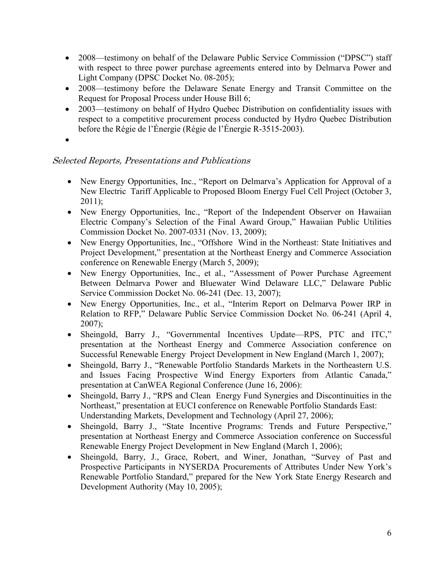- 2008—testimony on behalf of the Delaware Public Service Commission ("DPSC") staff with respect to three power purchase agreements entered into by Delmarva Power and Light Company (DPSC Docket No. 08-205);
- 2008—testimony before the Delaware Senate Energy and Transit Committee on the Request for Proposal Process under House Bill 6;
- 2003—testimony on behalf of Hydro Ouebec Distribution on confidentiality issues with respect to a competitive procurement process conducted by Hydro Quebec Distribution before the Régie de l'Énergie (Régie de l'Énergie R-3515-2003).
- •

# Selected Reports, Presentations and Publications

- New Energy Opportunities, Inc., "Report on Delmarva's Application for Approval of a New Electric Tariff Applicable to Proposed Bloom Energy Fuel Cell Project (October 3,  $2011$ ;
- New Energy Opportunities, Inc., "Report of the Independent Observer on Hawaiian Electric Company's Selection of the Final Award Group," Hawaiian Public Utilities Commission Docket No. 2007-0331 (Nov. 13, 2009);
- New Energy Opportunities, Inc., "Offshore Wind in the Northeast: State Initiatives and Project Development," presentation at the Northeast Energy and Commerce Association conference on Renewable Energy (March 5, 2009);
- New Energy Opportunities, Inc., et al., "Assessment of Power Purchase Agreement Between Delmarva Power and Bluewater Wind Delaware LLC," Delaware Public Service Commission Docket No. 06-241 (Dec. 13, 2007);
- New Energy Opportunities, Inc., et al., "Interim Report on Delmarva Power IRP in Relation to RFP," Delaware Public Service Commission Docket No. 06-241 (April 4, 2007);
- Sheingold, Barry J., "Governmental Incentives Update—RPS, PTC and ITC," presentation at the Northeast Energy and Commerce Association conference on Successful Renewable Energy Project Development in New England (March 1, 2007);
- Sheingold, Barry J., "Renewable Portfolio Standards Markets in the Northeastern U.S. and Issues Facing Prospective Wind Energy Exporters from Atlantic Canada," presentation at CanWEA Regional Conference (June 16, 2006):
- Sheingold, Barry J., "RPS and Clean Energy Fund Synergies and Discontinuities in the Northeast," presentation at EUCI conference on Renewable Portfolio Standards East: Understanding Markets, Development and Technology (April 27, 2006);
- Sheingold, Barry J., "State Incentive Programs: Trends and Future Perspective," presentation at Northeast Energy and Commerce Association conference on Successful Renewable Energy Project Development in New England (March 1, 2006);
- Sheingold, Barry, J., Grace, Robert, and Winer, Jonathan, "Survey of Past and Prospective Participants in NYSERDA Procurements of Attributes Under New York's Renewable Portfolio Standard," prepared for the New York State Energy Research and Development Authority (May 10, 2005);